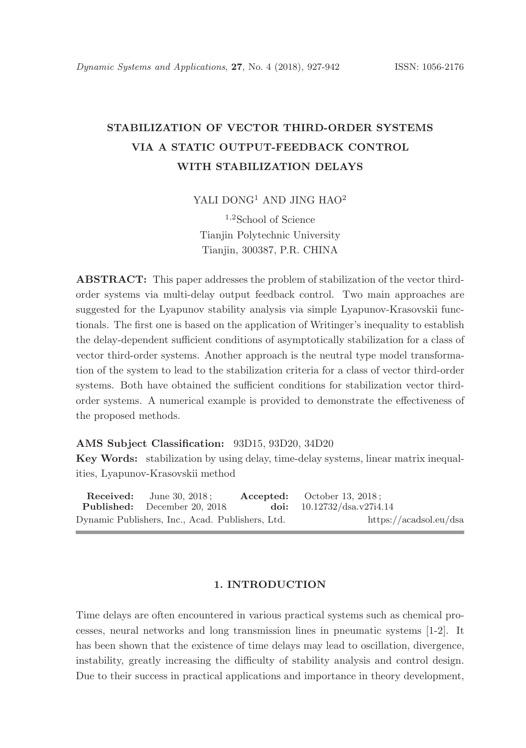# STABILIZATION OF VECTOR THIRD-ORDER SYSTEMS VIA A STATIC OUTPUT-FEEDBACK CONTROL WITH STABILIZATION DELAYS

YALI DONG<sup>1</sup> AND JING HAO<sup>2</sup>

<sup>1</sup>,<sup>2</sup>School of Science Tianjin Polytechnic University Tianjin, 300387, P.R. CHINA

ABSTRACT: This paper addresses the problem of stabilization of the vector thirdorder systems via multi-delay output feedback control. Two main approaches are suggested for the Lyapunov stability analysis via simple Lyapunov-Krasovskii functionals. The first one is based on the application of Writinger's inequality to establish the delay-dependent sufficient conditions of asymptotically stabilization for a class of vector third-order systems. Another approach is the neutral type model transformation of the system to lead to the stabilization criteria for a class of vector third-order systems. Both have obtained the sufficient conditions for stabilization vector thirdorder systems. A numerical example is provided to demonstrate the effectiveness of the proposed methods.

## AMS Subject Classification: 93D15, 93D20, 34D20

Key Words: stabilization by using delay, time-delay systems, linear matrix inequalities, Lyapunov-Krasovskii method

**Received:** June 30, 2018 ; **Accepted:** October 13, 2018 ; **Published:** December 20, 2018. doi: 10.12732/dsa.v27i4.14 Dynamic Publishers, Inc., Acad. Publishers, Ltd. https://acadsol.eu/dsa

# 1. INTRODUCTION

Time delays are often encountered in various practical systems such as chemical processes, neural networks and long transmission lines in pneumatic systems [1-2]. It has been shown that the existence of time delays may lead to oscillation, divergence, instability, greatly increasing the difficulty of stability analysis and control design. Due to their success in practical applications and importance in theory development,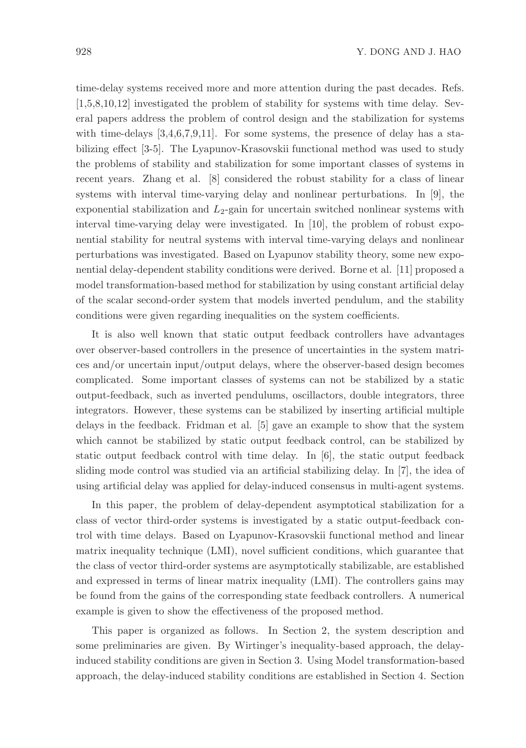time-delay systems received more and more attention during the past decades. Refs. [1,5,8,10,12] investigated the problem of stability for systems with time delay. Several papers address the problem of control design and the stabilization for systems with time-delays  $[3,4,6,7,9,11]$ . For some systems, the presence of delay has a stabilizing effect [3-5]. The Lyapunov-Krasovskii functional method was used to study the problems of stability and stabilization for some important classes of systems in recent years. Zhang et al. [8] considered the robust stability for a class of linear systems with interval time-varying delay and nonlinear perturbations. In [9], the exponential stabilization and  $L_2$ -gain for uncertain switched nonlinear systems with interval time-varying delay were investigated. In [10], the problem of robust exponential stability for neutral systems with interval time-varying delays and nonlinear perturbations was investigated. Based on Lyapunov stability theory, some new exponential delay-dependent stability conditions were derived. Borne et al. [11] proposed a model transformation-based method for stabilization by using constant artificial delay of the scalar second-order system that models inverted pendulum, and the stability conditions were given regarding inequalities on the system coefficients.

It is also well known that static output feedback controllers have advantages over observer-based controllers in the presence of uncertainties in the system matrices and/or uncertain input/output delays, where the observer-based design becomes complicated. Some important classes of systems can not be stabilized by a static output-feedback, such as inverted pendulums, oscillactors, double integrators, three integrators. However, these systems can be stabilized by inserting artificial multiple delays in the feedback. Fridman et al. [5] gave an example to show that the system which cannot be stabilized by static output feedback control, can be stabilized by static output feedback control with time delay. In [6], the static output feedback sliding mode control was studied via an artificial stabilizing delay. In [7], the idea of using artificial delay was applied for delay-induced consensus in multi-agent systems.

In this paper, the problem of delay-dependent asymptotical stabilization for a class of vector third-order systems is investigated by a static output-feedback control with time delays. Based on Lyapunov-Krasovskii functional method and linear matrix inequality technique (LMI), novel sufficient conditions, which guarantee that the class of vector third-order systems are asymptotically stabilizable, are established and expressed in terms of linear matrix inequality (LMI). The controllers gains may be found from the gains of the corresponding state feedback controllers. A numerical example is given to show the effectiveness of the proposed method.

This paper is organized as follows. In Section 2, the system description and some preliminaries are given. By Wirtinger's inequality-based approach, the delayinduced stability conditions are given in Section 3. Using Model transformation-based approach, the delay-induced stability conditions are established in Section 4. Section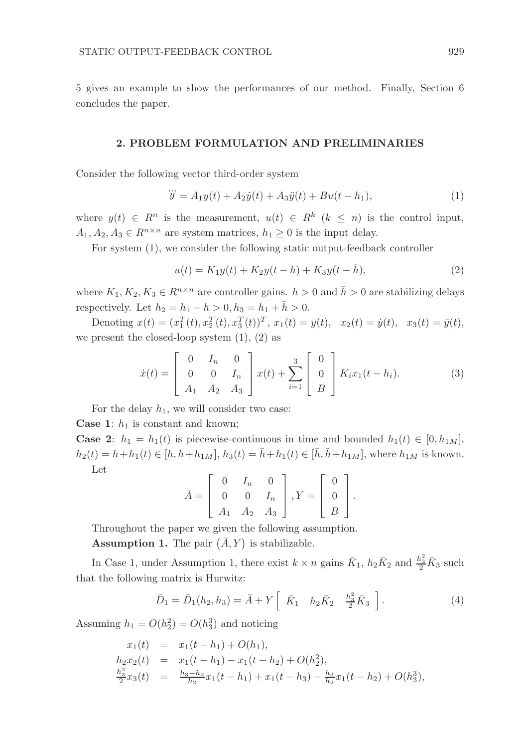5 gives an example to show the performances of our method. Finally, Section 6 concludes the paper.

#### 2. PROBLEM FORMULATION AND PRELIMINARIES

Consider the following vector third-order system

$$
\dddot{y} = A_1 y(t) + A_2 \dot{y}(t) + A_3 \ddot{y}(t) + B u(t - h_1), \tag{1}
$$

where  $y(t) \in R^n$  is the measurement,  $u(t) \in R^k$   $(k \leq n)$  is the control input,  $A_1, A_2, A_3 \in R^{n \times n}$  are system matrices,  $h_1 \geq 0$  is the input delay.

For system (1), we consider the following static output-feedback controller

$$
u(t) = K_1 y(t) + K_2 y(t - h) + K_3 y(t - \bar{h}),
$$
\n(2)

where  $K_1, K_2, K_3 \in R^{n \times n}$  are controller gains.  $h > 0$  and  $\bar{h} > 0$  are stabilizing delays respectively. Let  $h_2 = h_1 + h > 0, h_3 = h_1 + \bar{h} > 0.$ 

Denoting  $x(t) = (x_1^T(t), x_2^T(t), x_3^T(t))^T$ ,  $x_1(t) = y(t)$ ,  $x_2(t) = \dot{y}(t)$ ,  $x_3(t) = \ddot{y}(t)$ , we present the closed-loop system  $(1)$ ,  $(2)$  as

$$
\dot{x}(t) = \begin{bmatrix} 0 & I_n & 0 \\ 0 & 0 & I_n \\ A_1 & A_2 & A_3 \end{bmatrix} x(t) + \sum_{i=1}^3 \begin{bmatrix} 0 \\ 0 \\ B \end{bmatrix} K_i x_1(t - h_i). \tag{3}
$$

For the delay  $h_1$ , we will consider two case:

**Case 1:**  $h_1$  is constant and known;

**Case 2:**  $h_1 = h_1(t)$  is piecewise-continuous in time and bounded  $h_1(t) \in [0, h_1_M]$ ,  $h_2(t) = h + h_1(t) \in [h, h + h_1M], h_3(t) = \bar{h} + h_1(t) \in [\bar{h}, \bar{h} + h_1M],$  where  $h_{1M}$  is known. Let

$$
\bar{A} = \begin{bmatrix} 0 & I_n & 0 \\ 0 & 0 & I_n \\ A_1 & A_2 & A_3 \end{bmatrix}, Y = \begin{bmatrix} 0 \\ 0 \\ B \end{bmatrix}.
$$

Throughout the paper we given the following assumption.

**Assumption 1.** The pair  $(\bar{A}, Y)$  is stabilizable.

In Case 1, under Assumption 1, there exist  $k \times n$  gains  $\bar{K}_1$ ,  $h_2 \bar{K}_2$  and  $\frac{h_3^2}{2} \bar{K}_3$  such that the following matrix is Hurwitz:

$$
\bar{D}_1 = \bar{D}_1(h_2, h_3) = \bar{A} + Y \left[ \begin{array}{cc} \bar{K}_1 & h_2 \bar{K}_2 & \frac{h_3^2}{2} \bar{K}_3 \end{array} \right]. \tag{4}
$$

Assuming  $h_1 = O(h_2^2) = O(h_3^3)$  and noticing

$$
x_1(t) = x_1(t - h_1) + O(h_1),
$$
  
\n
$$
h_2x_2(t) = x_1(t - h_1) - x_1(t - h_2) + O(h_2^2),
$$
  
\n
$$
\frac{h_3^2}{2}x_3(t) = \frac{h_3 - h_2}{h_2}x_1(t - h_1) + x_1(t - h_3) - \frac{h_3}{h_2}x_1(t - h_2) + O(h_3^3),
$$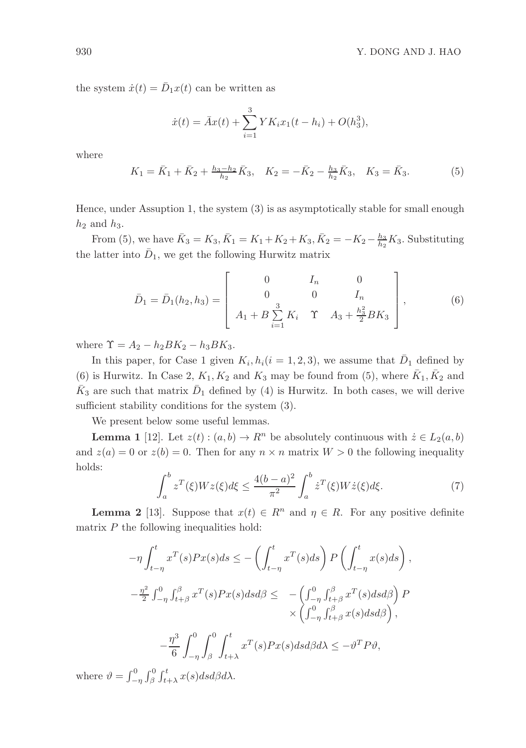the system  $\dot{x}(t) = \bar{D}_1 x(t)$  can be written as

$$
\dot{x}(t) = \bar{A}x(t) + \sum_{i=1}^{3} YK_i x_1(t - h_i) + O(h_3^3),
$$

where

$$
K_1 = \bar{K}_1 + \bar{K}_2 + \frac{h_3 - h_2}{h_2} \bar{K}_3, \quad K_2 = -\bar{K}_2 - \frac{h_3}{h_2} \bar{K}_3, \quad K_3 = \bar{K}_3.
$$
 (5)

Hence, under Assuption 1, the system (3) is as asymptotically stable for small enough  $h_2$  and  $h_3$ .

From (5), we have  $\bar{K}_3 = K_3$ ,  $\bar{K}_1 = K_1 + K_2 + K_3$ ,  $\bar{K}_2 = -K_2 - \frac{h_3}{h_2} K_3$ . Substituting the latter into  $\bar{D}_1$ , we get the following Hurwitz matrix

$$
\bar{D}_1 = \bar{D}_1(h_2, h_3) = \begin{bmatrix} 0 & I_n & 0 \\ 0 & 0 & I_n \\ A_1 + B \sum_{i=1}^3 K_i & \Upsilon & A_3 + \frac{h_3^2}{2} B K_3 \end{bmatrix},
$$
(6)

where  $\Upsilon = A_2 - h_2 B K_2 - h_3 B K_3$ .

In this paper, for Case 1 given  $K_i, h_i (i = 1, 2, 3)$ , we assume that  $\overline{D}_1$  defined by (6) is Hurwitz. In Case 2,  $K_1, K_2$  and  $K_3$  may be found from (5), where  $\bar{K}_1, \bar{K}_2$  and  $\bar{K}_3$  are such that matrix  $\bar{D}_1$  defined by (4) is Hurwitz. In both cases, we will derive sufficient stability conditions for the system (3).

We present below some useful lemmas.

**Lemma 1** [12]. Let  $z(t)$  :  $(a, b) \to R^n$  be absolutely continuous with  $\dot{z} \in L_2(a, b)$ and  $z(a) = 0$  or  $z(b) = 0$ . Then for any  $n \times n$  matrix  $W > 0$  the following inequality holds:

$$
\int_{a}^{b} z^{T}(\xi)Wz(\xi)d\xi \le \frac{4(b-a)^{2}}{\pi^{2}} \int_{a}^{b} \dot{z}^{T}(\xi)W\dot{z}(\xi)d\xi.
$$
 (7)

**Lemma 2** [13]. Suppose that  $x(t) \in R^n$  and  $\eta \in R$ . For any positive definite matrix  $P$  the following inequalities hold:

$$
-\eta \int_{t-\eta}^{t} x^{T}(s)Px(s)ds \le -\left(\int_{t-\eta}^{t} x^{T}(s)ds\right)P\left(\int_{t-\eta}^{t} x(s)ds\right),
$$
  

$$
-\frac{\eta^{2}}{2} \int_{-\eta}^{0} \int_{t+\beta}^{\beta} x^{T}(s)Px(s)dsd\beta \le -\left(\int_{-\eta}^{0} \int_{t+\beta}^{\beta} x^{T}(s)dsd\beta\right)P
$$
  

$$
\times \left(\int_{-\eta}^{0} \int_{t+\beta}^{\beta} x(s)dsd\beta\right),
$$
  

$$
-\frac{\eta^{3}}{6} \int_{-\eta}^{0} \int_{\beta}^{t} \int_{t+\lambda}^{t} x^{T}(s)Px(s)dsd\beta d\lambda \le -\vartheta^{T}P\vartheta,
$$

where  $\vartheta = \int_{-\eta}^{0} \int_{\beta}^{0} \int_{t+\lambda}^{t} x(s) ds d\beta d\lambda$ .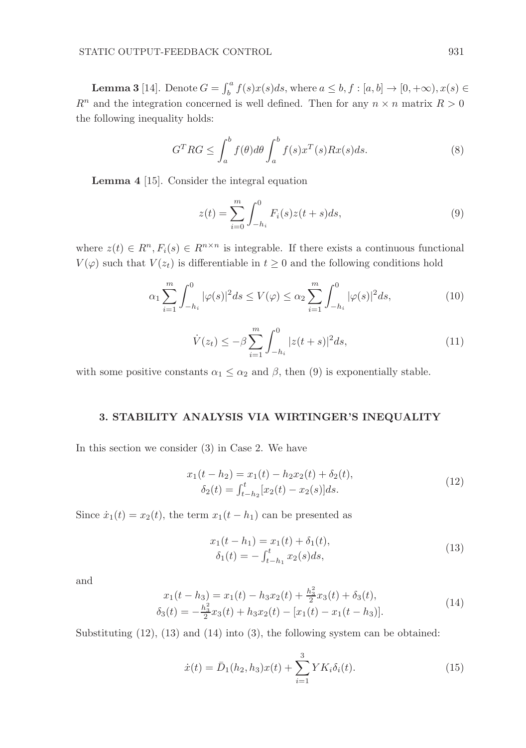**Lemma 3** [14]. Denote  $G = \int_b^a f(s)x(s)ds$ , where  $a \leq b, f : [a, b] \rightarrow [0, +\infty), x(s) \in$  $R^n$  and the integration concerned is well defined. Then for any  $n \times n$  matrix  $R > 0$ the following inequality holds:

$$
G^{T}RG \leq \int_{a}^{b} f(\theta)d\theta \int_{a}^{b} f(s)x^{T}(s)Rx(s)ds.
$$
 (8)

Lemma 4 [15]. Consider the integral equation

$$
z(t) = \sum_{i=0}^{m} \int_{-h_i}^{0} F_i(s)z(t+s)ds,
$$
\n(9)

where  $z(t) \in R^n, F_i(s) \in R^{n \times n}$  is integrable. If there exists a continuous functional  $V(\varphi)$  such that  $V(z_t)$  is differentiable in  $t \geq 0$  and the following conditions hold

$$
\alpha_1 \sum_{i=1}^m \int_{-h_i}^0 |\varphi(s)|^2 ds \le V(\varphi) \le \alpha_2 \sum_{i=1}^m \int_{-h_i}^0 |\varphi(s)|^2 ds, \tag{10}
$$

$$
\dot{V}(z_t) \le -\beta \sum_{i=1}^m \int_{-h_i}^0 |z(t+s)|^2 ds, \tag{11}
$$

with some positive constants  $\alpha_1 \leq \alpha_2$  and  $\beta$ , then (9) is exponentially stable.

# 3. STABILITY ANALYSIS VIA WIRTINGER'S INEQUALITY

In this section we consider (3) in Case 2. We have

$$
x_1(t - h_2) = x_1(t) - h_2 x_2(t) + \delta_2(t),
$$
  
\n
$$
\delta_2(t) = \int_{t - h_2}^t [x_2(t) - x_2(s)] ds.
$$
\n(12)

Since  $\dot{x}_1(t) = x_2(t)$ , the term  $x_1(t - h_1)$  can be presented as

$$
x_1(t - h_1) = x_1(t) + \delta_1(t),
$$
  
\n
$$
\delta_1(t) = -\int_{t - h_1}^t x_2(s)ds,
$$
\n(13)

and

$$
x_1(t - h_3) = x_1(t) - h_3x_2(t) + \frac{h_3^2}{2}x_3(t) + \delta_3(t),
$$
  
\n
$$
\delta_3(t) = -\frac{h_3^2}{2}x_3(t) + h_3x_2(t) - [x_1(t) - x_1(t - h_3)].
$$
\n(14)

Substituting (12), (13) and (14) into (3), the following system can be obtained:

$$
\dot{x}(t) = \bar{D}_1(h_2, h_3)x(t) + \sum_{i=1}^3 Y K_i \delta_i(t).
$$
\n(15)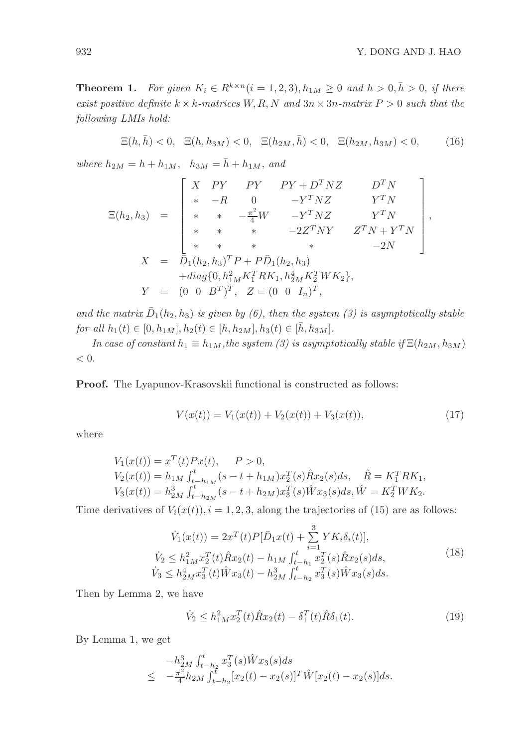,

**Theorem 1.** *For given*  $K_i \in R^{k \times n}$   $(i = 1, 2, 3)$ ,  $h_{1M} \geq 0$  and  $h > 0$ ,  $\overline{h} > 0$ , if there *exist positive definite*  $k \times k$ *-matrices*  $W, R, N$  *and*  $3n \times 3n$ *-matrix*  $P > 0$  *such that the following LMIs hold:*

$$
\Xi(h,\bar{h})<0, \ \Xi(h,h_{3M})<0, \ \Xi(h_{2M},\bar{h})<0, \ \Xi(h_{2M},h_{3M})<0,\tag{16}
$$

*where*  $h_{2M} = h + h_{1M}$ ,  $h_{3M} = \bar{h} + h_{1M}$ , and

$$
\Xi(h_2, h_3) = \begin{bmatrix} X & PY & PY & PY + D^T NZ & D^T N \\ * & -R & 0 & -Y^T NZ & Y^T N \\ * & * & -\frac{\pi^2}{4} W & -Y^T NZ & Y^T N \\ * & * & * & -2Z^T NY & Z^T N + Y^T N \\ * & * & * & * & * & -2N \end{bmatrix}
$$

$$
X = \overline{D}_1(h_2, h_3)^T P + P \overline{D}_1(h_2, h_3)
$$

$$
+ diag\{0, h_{1M}^2 K_1^T RK_1, h_{2M}^4 K_2^T WK_2\},
$$

$$
Y = (0 \ 0 \ B^T)^T, \ Z = (0 \ 0 \ I_n)^T,
$$

and the matrix  $\bar{D}_1(h_2, h_3)$  is given by (6), then the system (3) is asymptotically stable *for all*  $h_1(t) \in [0, h_{1M}], h_2(t) \in [h, h_{2M}], h_3(t) \in [\bar{h}, h_{3M}].$ 

*In case of constant*  $h_1 \equiv h_{1M}$ , *the system (3) is asymptotically stable if*  $\Xi(h_{2M}, h_{3M})$  $< 0.$ 

Proof. The Lyapunov-Krasovskii functional is constructed as follows:

$$
V(x(t)) = V_1(x(t)) + V_2(x(t)) + V_3(x(t)),
$$
\n(17)

where

$$
V_1(x(t)) = x^T(t)Px(t), \quad P > 0,
$$
  
\n
$$
V_2(x(t)) = h_{1M} \int_{t-h_{1M}}^t (s - t + h_{1M})x_2^T(s)\hat{R}x_2(s)ds, \quad \hat{R} = K_1^T R K_1,
$$
  
\n
$$
V_3(x(t)) = h_{2M}^3 \int_{t-h_{2M}}^t (s - t + h_{2M})x_3^T(s)\hat{W}x_3(s)ds, \hat{W} = K_2^T W K_2.
$$

Time derivatives of  $V_i(x(t))$ ,  $i = 1, 2, 3$ , along the trajectories of (15) are as follows:

$$
\dot{V}_1(x(t)) = 2x^T(t)P[\bar{D}_1x(t) + \sum_{i=1}^3 YK_i\delta_i(t)],
$$
\n
$$
\dot{V}_2 \le h_{1M}^2 x_2^T(t)\hat{R}x_2(t) - h_{1M} \int_{t-h_1}^t x_2^T(s)\hat{R}x_2(s)ds,
$$
\n
$$
\dot{V}_3 \le h_{2M}^4 x_3^T(t)\hat{W}x_3(t) - h_{2M}^3 \int_{t-h_2}^t x_3^T(s)\hat{W}x_3(s)ds.
$$
\n(18)

Then by Lemma 2, we have

$$
\dot{V}_2 \le h_{1M}^2 x_2^T(t)\hat{R}x_2(t) - \delta_1^T(t)\hat{R}\delta_1(t). \tag{19}
$$

By Lemma 1, we get

$$
-h_{2M}^{3}\int_{t-h_2}^{t} x_{3}^{T}(s)\hat{W}x_{3}(s)ds
$$
  

$$
\leq -\frac{\pi^{2}}{4}h_{2M}\int_{t-h_2}^{t}[x_{2}(t)-x_{2}(s)]^{T}\hat{W}[x_{2}(t)-x_{2}(s)]ds.
$$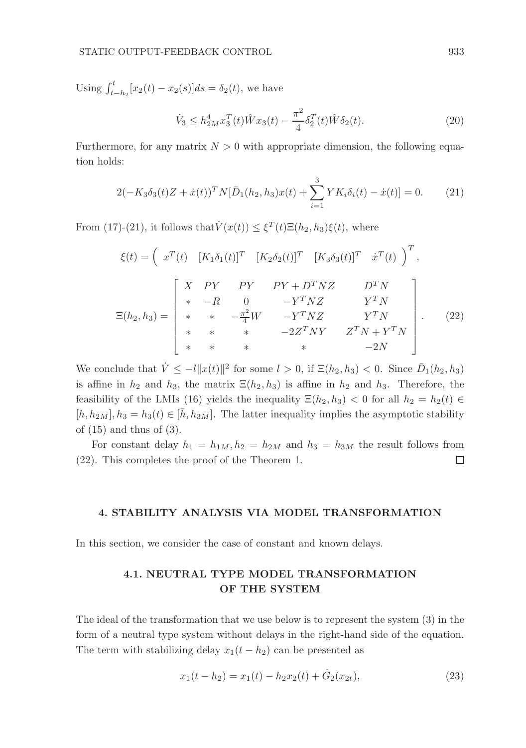Using  $\int_{t-h_2}^{t} [x_2(t) - x_2(s)]ds = \delta_2(t)$ , we have

$$
\dot{V}_3 \le h_{2M}^4 x_3^T(t) \hat{W} x_3(t) - \frac{\pi^2}{4} \delta_2^T(t) \hat{W} \delta_2(t).
$$
 (20)

Furthermore, for any matrix  $N > 0$  with appropriate dimension, the following equation holds:

$$
2(-K_3\delta_3(t)Z + \dot{x}(t))^T N[\bar{D}_1(h_2, h_3)x(t) + \sum_{i=1}^3 YK_i\delta_i(t) - \dot{x}(t)] = 0.
$$
 (21)

From (17)-(21), it follows that  $\dot{V}(x(t)) \leq \xi^{T}(t)\Xi(h_2,h_3)\xi(t)$ , where

$$
\xi(t) = \begin{pmatrix} x^T(t) & [K_1 \delta_1(t)]^T & [K_2 \delta_2(t)]^T & [K_3 \delta_3(t)]^T & \dot{x}^T(t) \end{pmatrix}^T,
$$
  

$$
\Xi(h_2, h_3) = \begin{bmatrix} X & PY & PY & PY + D^T N Z & D^T N \\ * & -R & 0 & -Y^T N Z & Y^T N \\ * & * & -\frac{\pi^2}{4} W & -Y^T N Z & Y^T N \\ * & * & * & -2Z^T N Y & Z^T N + Y^T N \\ * & * & * & * & -2N \end{bmatrix}.
$$
 (22)

We conclude that  $\dot{V} \leq -l ||x(t)||^2$  for some  $l > 0$ , if  $\Xi(h_2, h_3) < 0$ . Since  $\bar{D}_1(h_2, h_3)$ is affine in  $h_2$  and  $h_3$ , the matrix  $\Xi(h_2, h_3)$  is affine in  $h_2$  and  $h_3$ . Therefore, the feasibility of the LMIs (16) yields the inequality  $\Xi(h_2, h_3) < 0$  for all  $h_2 = h_2(t) \in$  $[h, h_{2M}], h_3 = h_3(t) \in [\bar{h}, h_{3M}]$ . The latter inequality implies the asymptotic stability of  $(15)$  and thus of  $(3)$ .

For constant delay  $h_1 = h_{1M}$ ,  $h_2 = h_{2M}$  and  $h_3 = h_{3M}$  the result follows from (22). This completes the proof of the Theorem 1. □

#### 4. STABILITY ANALYSIS VIA MODEL TRANSFORMATION

In this section, we consider the case of constant and known delays.

# 4.1. NEUTRAL TYPE MODEL TRANSFORMATION OF THE SYSTEM

The ideal of the transformation that we use below is to represent the system (3) in the form of a neutral type system without delays in the right-hand side of the equation. The term with stabilizing delay  $x_1(t - h_2)$  can be presented as

$$
x_1(t - h_2) = x_1(t) - h_2 x_2(t) + \dot{G}_2(x_{2t}),
$$
\n(23)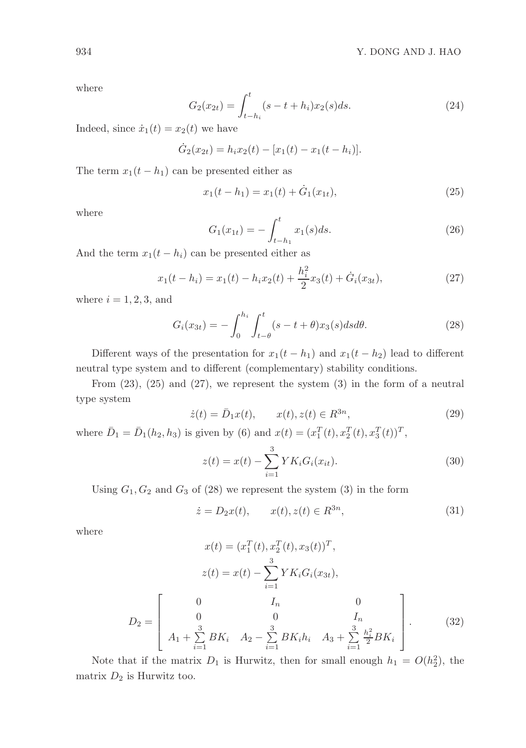where

$$
G_2(x_{2t}) = \int_{t-h_i}^t (s-t+h_i)x_2(s)ds.
$$
 (24)

Indeed, since  $\dot{x}_1(t) = x_2(t)$  we have

$$
\dot{G}_2(x_{2t}) = h_i x_2(t) - [x_1(t) - x_1(t - h_i)].
$$

The term  $x_1(t - h_1)$  can be presented either as

$$
x_1(t - h_1) = x_1(t) + \dot{G}_1(x_{1t}), \tag{25}
$$

where

$$
G_1(x_{1t}) = -\int_{t-h_1}^t x_1(s)ds.
$$
 (26)

And the term  $x_1(t-h_i)$  can be presented either as

$$
x_1(t - h_i) = x_1(t) - h_i x_2(t) + \frac{h_i^2}{2} x_3(t) + \dot{G}_i(x_{3t}),
$$
\n(27)

where  $i = 1, 2, 3$ , and

$$
G_i(x_{3t}) = -\int_0^{h_i} \int_{t-\theta}^t (s - t + \theta)x_3(s)ds d\theta.
$$
 (28)

Different ways of the presentation for  $x_1(t-h_1)$  and  $x_1(t-h_2)$  lead to different neutral type system and to different (complementary) stability conditions.

From  $(23)$ ,  $(25)$  and  $(27)$ , we represent the system  $(3)$  in the form of a neutral type system

$$
\dot{z}(t) = \bar{D}_1 x(t), \qquad x(t), z(t) \in R^{3n}, \tag{29}
$$

where  $\bar{D}_1 = \bar{D}_1(h_2, h_3)$  is given by (6) and  $x(t) = (x_1^T(t), x_2^T(t), x_3^T(t))^T$ ,

$$
z(t) = x(t) - \sum_{i=1}^{3} Y K_i G_i(x_{it}).
$$
\n(30)

Using  $G_1, G_2$  and  $G_3$  of (28) we represent the system (3) in the form

$$
\dot{z} = D_2 x(t), \qquad x(t), z(t) \in R^{3n}, \tag{31}
$$

where

$$
x(t) = (x_1^T(t), x_2^T(t), x_3(t))^T,
$$
  
\n
$$
z(t) = x(t) - \sum_{i=1}^3 YK_i G_i(x_{3t}),
$$
  
\n
$$
D_2 = \begin{bmatrix} 0 & I_n & 0 \\ 0 & 0 & I_n \\ A_1 + \sum_{i=1}^3 BK_i & A_2 - \sum_{i=1}^3 BK_i h_i & A_3 + \sum_{i=1}^3 \frac{h_i^2}{2} BK_i \end{bmatrix}.
$$
 (32)

Note that if the matrix  $D_1$  is Hurwitz, then for small enough  $h_1 = O(h_2^2)$ , the matrix  $D_2$  is Hurwitz too.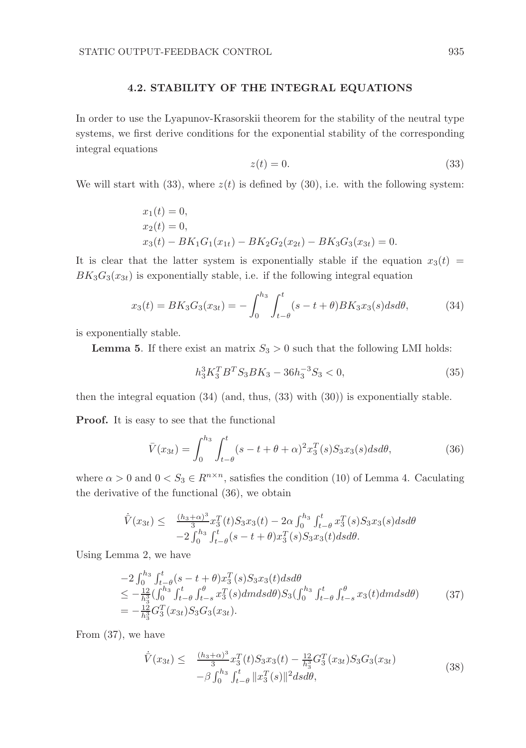#### 4.2. STABILITY OF THE INTEGRAL EQUATIONS

In order to use the Lyapunov-Krasorskii theorem for the stability of the neutral type systems, we first derive conditions for the exponential stability of the corresponding integral equations

$$
z(t) = 0.\t\t(33)
$$

We will start with (33), where  $z(t)$  is defined by (30), i.e. with the following system:

$$
x_1(t) = 0,
$$
  
\n
$$
x_2(t) = 0,
$$
  
\n
$$
x_3(t) - BK_1G_1(x_{1t}) - BK_2G_2(x_{2t}) - BK_3G_3(x_{3t}) = 0.
$$

It is clear that the latter system is exponentially stable if the equation  $x_3(t)$  =  $BK_3G_3(x_{3t})$  is exponentially stable, i.e. if the following integral equation

$$
x_3(t) = BK_3 G_3(x_{3t}) = -\int_0^{h_3} \int_{t-\theta}^t (s - t + \theta) BK_3 x_3(s) ds d\theta, \tag{34}
$$

is exponentially stable.

**Lemma 5.** If there exist an matrix  $S_3 > 0$  such that the following LMI holds:

$$
h_3^3 K_3^T B^T S_3 B K_3 - 36 h_3^{-3} S_3 < 0,\tag{35}
$$

then the integral equation (34) (and, thus, (33) with (30)) is exponentially stable.

Proof. It is easy to see that the functional

$$
\bar{V}(x_{3t}) = \int_0^{h_3} \int_{t-\theta}^t (s - t + \theta + \alpha)^2 x_3^T(s) S_3 x_3(s) ds d\theta, \tag{36}
$$

where  $\alpha > 0$  and  $0 < S_3 \in R^{n \times n}$ , satisfies the condition (10) of Lemma 4. Caculating the derivative of the functional (36), we obtain

$$
\dot{\bar{V}}(x_{3t}) \leq \frac{(h_3 + \alpha)^3}{3} x_3^T(t) S_3 x_3(t) - 2\alpha \int_0^{h_3} \int_{t-\theta}^t x_3^T(s) S_3 x_3(s) ds d\theta \n-2 \int_0^{h_3} \int_{t-\theta}^t (s - t + \theta) x_3^T(s) S_3 x_3(t) ds d\theta.
$$

Using Lemma 2, we have

$$
-2\int_0^{h_3} \int_{t-\theta}^t (s-t+\theta)x_3^T(s)S_3x_3(t)dsd\theta
$$
  
\n
$$
\leq -\frac{12}{h_3^3} (\int_0^{h_3} \int_{t-\theta}^t \int_{t-s}^{\theta} x_3^T(s)dmdsd\theta)S_3(\int_0^{h_3} \int_{t-\theta}^t \int_{t-s}^{\theta} x_3(t)dmdsd\theta) \tag{37}
$$
  
\n
$$
= -\frac{12}{h_3^3} G_3^T(x_{3t})S_3G_3(x_{3t}).
$$

From (37), we have

$$
\dot{\bar{V}}(x_{3t}) \leq \frac{(h_3 + \alpha)^3}{3} x_3^T(t) S_3 x_3(t) - \frac{12}{h_3^3} G_3^T(x_{3t}) S_3 G_3(x_{3t}) -\beta \int_0^{h_3} \int_{t-\theta}^t \|x_3^T(s)\|^2 ds d\theta,
$$
\n(38)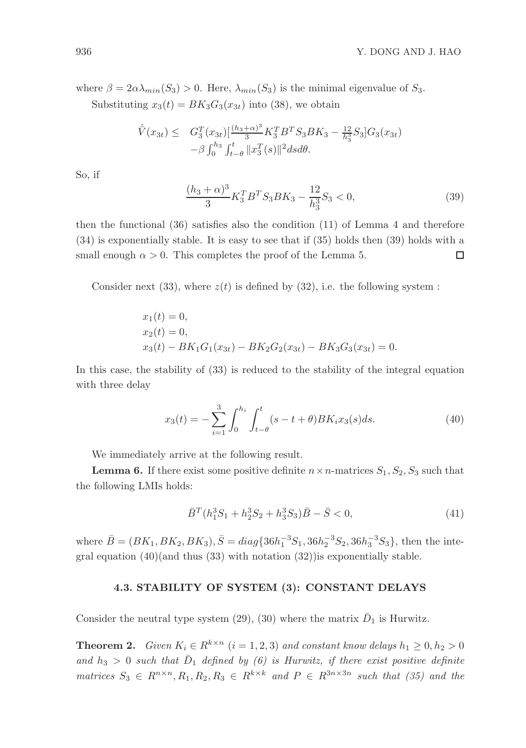where  $\beta = 2\alpha \lambda_{min}(S_3) > 0$ . Here,  $\lambda_{min}(S_3)$  is the minimal eigenvalue of  $S_3$ . Substituting  $x_3(t) = BK_3G_3(x_{3t})$  into (38), we obtain

$$
\dot{\overline{V}}(x_{3t}) \leq G_3^T(x_{3t}) \left[\frac{(h_3 + \alpha)^3}{3} K_3^T B^T S_3 B K_3 - \frac{12}{h_3^3} S_3 \right] G_3(x_{3t}) \n- \beta \int_0^{h_3} \int_{t-\theta}^t \|x_3^T(s)\|^2 ds d\theta.
$$

So, if

$$
\frac{(h_3+\alpha)^3}{3}K_3^T B^T S_3 B K_3 - \frac{12}{h_3^3} S_3 < 0,\tag{39}
$$

then the functional  $(36)$  satisfies also the condition  $(11)$  of Lemma 4 and therefore (34) is exponentially stable. It is easy to see that if (35) holds then (39) holds with a  $\Box$ small enough  $\alpha > 0$ . This completes the proof of the Lemma 5.

Consider next (33), where  $z(t)$  is defined by (32), i.e. the following system :

$$
x_1(t) = 0,
$$
  
\n
$$
x_2(t) = 0,
$$
  
\n
$$
x_3(t) - BK_1G_1(x_{3t}) - BK_2G_2(x_{3t}) - BK_3G_3(x_{3t}) = 0.
$$

In this case, the stability of (33) is reduced to the stability of the integral equation with three delay

$$
x_3(t) = -\sum_{i=1}^3 \int_0^{h_i} \int_{t-\theta}^t (s - t + \theta) BK_i x_3(s) ds.
$$
 (40)

We immediately arrive at the following result.

**Lemma 6.** If there exist some positive definite  $n \times n$ -matrices  $S_1, S_2, S_3$  such that the following LMIs holds:

$$
\bar{B}^T (h_1^3 S_1 + h_2^3 S_2 + h_3^3 S_3) \bar{B} - \bar{S} < 0,\tag{41}
$$

where  $\bar{B} = (BK_1, BK_2, BK_3), \bar{S} = diag\{36h_1^{-3}S_1, 36h_2^{-3}S_2, 36h_3^{-3}S_3\},\$ then the integral equation  $(40)($ and thus  $(33)$  with notation  $(32))$ is exponentially stable.

## 4.3. STABILITY OF SYSTEM (3): CONSTANT DELAYS

Consider the neutral type system (29), (30) where the matrix  $\bar{D}_1$  is Hurwitz.

**Theorem 2.** *Given*  $K_i \in R^{k \times n}$   $(i = 1, 2, 3)$  *and constant know delays*  $h_1 \geq 0, h_2 > 0$ and  $h_3 > 0$  such that  $\bar{D}_1$  defined by (6) is Hurwitz, if there exist positive definite *matrices*  $S_3 \in R^{n \times n}, R_1, R_2, R_3 \in R^{k \times k}$  *and*  $P \in R^{3n \times 3n}$  *such that* (35) *and the*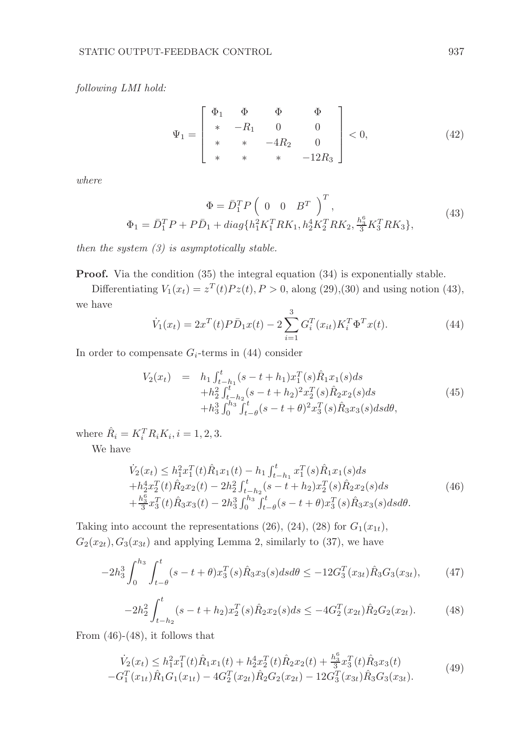*following LMI hold:*

$$
\Psi_1 = \begin{bmatrix} \Phi_1 & \Phi & \Phi & \Phi \\ * & -R_1 & 0 & 0 \\ * & * & -4R_2 & 0 \\ * & * & * & -12R_3 \end{bmatrix} < 0, \tag{42}
$$

*where*

$$
\Phi = \bar{D}_1^T P \left( 0 \quad 0 \quad B^T \right)^T,
$$
  
\n
$$
\Phi_1 = \bar{D}_1^T P + P \bar{D}_1 + diag\{h_1^2 K_1^T R K_1, h_2^4 K_2^T R K_2, \frac{h_3^6}{3} K_3^T R K_3\},
$$
\n(43)

*then the system (3) is asymptotically stable.*

Proof. Via the condition (35) the integral equation (34) is exponentially stable.

Differentiating  $V_1(x_t) = z^T(t)Pz(t), P > 0$ , along (29),(30) and using notion (43), we have

$$
\dot{V}_1(x_t) = 2x^T(t)P\bar{D}_1x(t) - 2\sum_{i=1}^3 G_i^T(x_{it})K_i^T\Phi^T x(t).
$$
\n(44)

In order to compensate  $G_i$ -terms in (44) consider

$$
V_2(x_t) = h_1 \int_{t-h_1}^t (s-t+h_1)x_1^T(s)\hat{R}_1x_1(s)ds +h_2^2 \int_{t-h_2}^t (s-t+h_2)^2x_2^T(s)\hat{R}_2x_2(s)ds +h_3^3 \int_0^{h_3} \int_{t-\theta}^t (s-t+\theta)^2x_3^T(s)\hat{R}_3x_3(s)dsd\theta,
$$
 (45)

where  $\hat{R}_i = K_i^T R_i K_i, i = 1, 2, 3.$ 

We have

$$
\dot{V}_2(x_t) \le h_1^2 x_1^T(t)\hat{R}_1 x_1(t) - h_1 \int_{t-h_1}^t x_1^T(s)\hat{R}_1 x_1(s)ds \n+ h_2^4 x_2^T(t)\hat{R}_2 x_2(t) - 2h_2^2 \int_{t-h_2}^t (s-t+h_2) x_2^T(s)\hat{R}_2 x_2(s)ds \n+ \frac{h_3^6}{3} x_3^T(t)\hat{R}_3 x_3(t) - 2h_3^3 \int_0^{h_3} \int_{t-\theta}^t (s-t+\theta) x_3^T(s)\hat{R}_3 x_3(s)ds d\theta.
$$
\n(46)

Taking into account the representations (26), (24), (28) for  $G_1(x_{1t})$ ,  $G_2(x_{2t}), G_3(x_{3t})$  and applying Lemma 2, similarly to (37), we have

$$
-2h_3^3 \int_0^{h_3} \int_{t-\theta}^t (s-t+\theta)x_3^T(s)\hat{R}_3x_3(s)dsd\theta \le -12G_3^T(x_{3t})\hat{R}_3G_3(x_{3t}),\tag{47}
$$

$$
-2h_2^2 \int_{t-h_2}^t (s-t+h_2)x_2^T(s)\hat{R}_2x_2(s)ds \le -4G_2^T(x_{2t})\hat{R}_2G_2(x_{2t}).
$$
 (48)

From  $(46)-(48)$ , it follows that

$$
\dot{V}_2(x_t) \le h_1^2 x_1^T(t)\hat{R}_1 x_1(t) + h_2^4 x_2^T(t)\hat{R}_2 x_2(t) + \frac{h_3^6}{3} x_3^T(t)\hat{R}_3 x_3(t) \n-G_1^T(x_{1t})\hat{R}_1 G_1(x_{1t}) - 4G_2^T(x_{2t})\hat{R}_2 G_2(x_{2t}) - 12G_3^T(x_{3t})\hat{R}_3 G_3(x_{3t}).
$$
\n(49)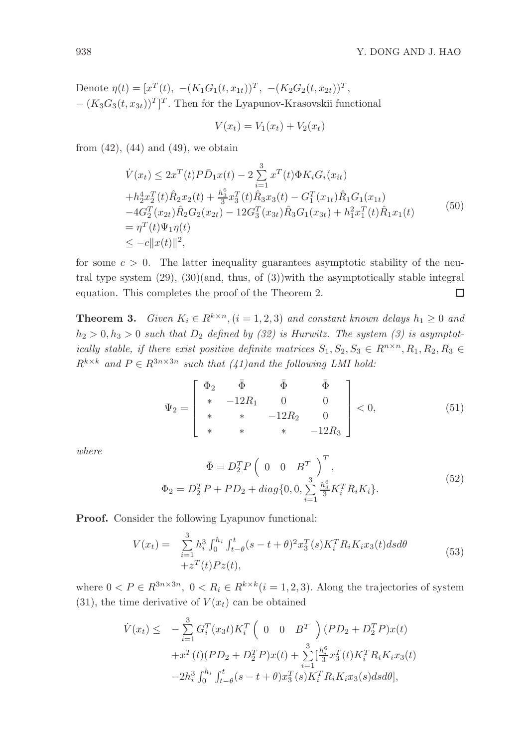Denote  $\eta(t) = [x^T(t), -(K_1G_1(t, x_{1t}))^T, -(K_2G_2(t, x_{2t}))^T,$  $-(K_3G_3(t, x_{3t}))^T]^T$ . Then for the Lyapunov-Krasovskii functional

$$
V(x_t) = V_1(x_t) + V_2(x_t)
$$

from  $(42)$ ,  $(44)$  and  $(49)$ , we obtain

$$
\dot{V}(x_t) \le 2x^T(t)P\bar{D}_1x(t) - 2\sum_{i=1}^3 x^T(t)\Phi K_i G_i(x_{it})
$$
\n
$$
+h_2^4 x_2^T(t)\hat{R}_2 x_2(t) + \frac{h_3^6}{3} x_3^T(t)\hat{R}_3 x_3(t) - G_1^T(x_{1t})\hat{R}_1 G_1(x_{1t})
$$
\n
$$
-4G_2^T(x_{2t})\hat{R}_2 G_2(x_{2t}) - 12G_3^T(x_{3t})\hat{R}_3 G_1(x_{3t}) + h_1^2 x_1^T(t)\hat{R}_1 x_1(t)
$$
\n
$$
= \eta^T(t)\Psi_1 \eta(t)
$$
\n
$$
\le -c||x(t)||^2,
$$
\n(50)

for some  $c > 0$ . The latter inequality guarantees asymptotic stability of the neutral type system  $(29)$ ,  $(30)(and, thus, of (3))$  with the asymptotically stable integral equation. This completes the proof of the Theorem 2.  $\Box$ 

**Theorem 3.** *Given*  $K_i \in R^{k \times n}$ ,  $(i = 1, 2, 3)$  *and constant known delays*  $h_1 \geq 0$  *and*  $h_2 > 0, h_3 > 0$  *such that*  $D_2$  *defined by (32) is Hurwitz. The system (3) is asymptotically stable, if there exist positive definite matrices*  $S_1, S_2, S_3 \in \mathbb{R}^{n \times n}, R_1, R_2, R_3 \in$  $R^{k \times k}$  *and*  $P \in R^{3n \times 3n}$  *such that* (41)*and the following LMI hold:* 

$$
\Psi_2 = \begin{bmatrix} \Phi_2 & \bar{\Phi} & \bar{\Phi} & \bar{\Phi} \\ * & -12R_1 & 0 & 0 \\ * & * & -12R_2 & 0 \\ * & * & * & -12R_3 \end{bmatrix} < 0, \tag{51}
$$

*where*

$$
\bar{\Phi} = D_2^T P \left( 0 \quad 0 \quad B^T \right)^T,
$$
  
\n
$$
\Phi_2 = D_2^T P + P D_2 + diag\{0, 0, \sum_{i=1}^3 \frac{h_3^6}{3} K_i^T R_i K_i \}.
$$
\n(52)

Proof. Consider the following Lyapunov functional:

$$
V(x_t) = \sum_{i=1}^{3} h_i^3 \int_0^{h_i} \int_{t-\theta}^t (s - t + \theta)^2 x_3^T(s) K_i^T R_i K_i x_3(t) ds d\theta + z^T(t) P z(t),
$$
\n(53)

where  $0 < P \in R^{3n \times 3n}$ ,  $0 < R_i \in R^{k \times k}$   $(i = 1, 2, 3)$ . Along the trajectories of system  $(31)$ , the time derivative of  $V(x_t)$  can be obtained

$$
\dot{V}(x_t) \leq -\sum_{i=1}^3 G_i^T(x_3 t) K_i^T \left( 0 \quad 0 \quad B^T \right) (PD_2 + D_2^T P) x(t) \n+ x^T(t) (PD_2 + D_2^T P) x(t) + \sum_{i=1}^3 \left[ \frac{h_i^6}{3} x_3^T(t) K_i^T R_i K_i x_3(t) - 2h_i^3 \int_0^{h_i} \int_{t-\theta}^t (s-t+\theta) x_3^T(s) K_i^T R_i K_i x_3(s) ds d\theta \right],
$$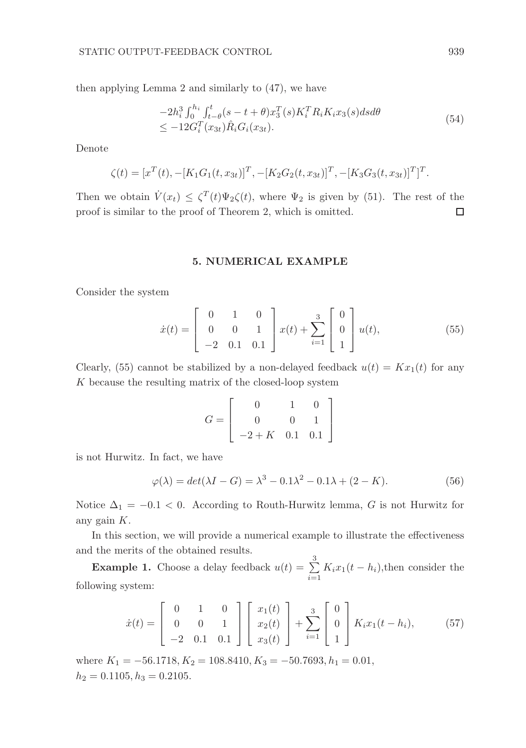then applying Lemma 2 and similarly to (47), we have

$$
-2h_i^3 \int_0^{h_i} \int_{t-\theta}^t (s-t+\theta)x_3^T(s)K_i^T R_i K_i x_3(s) ds d\theta
$$
  
 
$$
\leq -12G_i^T(x_{3t})\hat{R}_i G_i(x_{3t}).
$$
 (54)

Denote

$$
\zeta(t) = [x^T(t), -[K_1G_1(t, x_{3t})]^T, -[K_2G_2(t, x_{3t})]^T, -[K_3G_3(t, x_{3t})]^T]^T
$$

Then we obtain  $\dot{V}(x_t) \leq \zeta^{T}(t)\Psi_2\zeta(t)$ , where  $\Psi_2$  is given by (51). The rest of the proof is similar to the proof of Theorem 2, which is omitted.  $\Box$ 

#### 5. NUMERICAL EXAMPLE

Consider the system

$$
\dot{x}(t) = \begin{bmatrix} 0 & 1 & 0 \\ 0 & 0 & 1 \\ -2 & 0.1 & 0.1 \end{bmatrix} x(t) + \sum_{i=1}^{3} \begin{bmatrix} 0 \\ 0 \\ 1 \end{bmatrix} u(t), \tag{55}
$$

Clearly, (55) cannot be stabilized by a non-delayed feedback  $u(t) = Kx_1(t)$  for any  $K$  because the resulting matrix of the closed-loop system

$$
G = \left[ \begin{array}{rrr} 0 & 1 & 0 \\ 0 & 0 & 1 \\ -2 + K & 0.1 & 0.1 \end{array} \right]
$$

is not Hurwitz. In fact, we have

$$
\varphi(\lambda) = \det(\lambda I - G) = \lambda^3 - 0.1\lambda^2 - 0.1\lambda + (2 - K). \tag{56}
$$

Notice  $\Delta_1 = -0.1 < 0$ . According to Routh-Hurwitz lemma, G is not Hurwitz for any gain K.

In this section, we will provide a numerical example to illustrate the effectiveness and the merits of the obtained results.

**Example 1.** Choose a delay feedback  $u(t) = \sum_{n=1}^{3}$  $\sum_{i=1} K_i x_1(t-h_i)$ , then consider the following system:

$$
\dot{x}(t) = \begin{bmatrix} 0 & 1 & 0 \\ 0 & 0 & 1 \\ -2 & 0.1 & 0.1 \end{bmatrix} \begin{bmatrix} x_1(t) \\ x_2(t) \\ x_3(t) \end{bmatrix} + \sum_{i=1}^3 \begin{bmatrix} 0 \\ 0 \\ 1 \end{bmatrix} K_i x_1(t - h_i), \quad (57)
$$

where  $K_1 = -56.1718, K_2 = 108.8410, K_3 = -50.7693, h_1 = 0.01,$  $h_2 = 0.1105, h_3 = 0.2105.$ 

.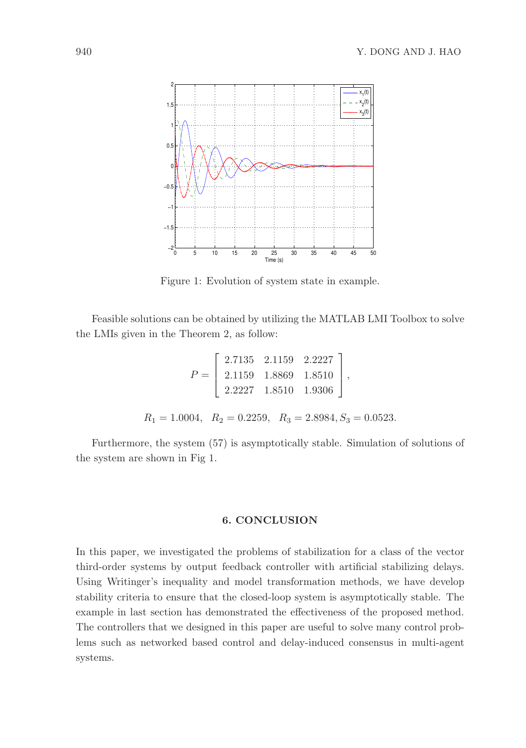

Figure 1: Evolution of system state in example.

Feasible solutions can be obtained by utilizing the MATLAB LMI Toolbox to solve the LMIs given in the Theorem 2, as follow:

$$
P = \begin{bmatrix} 2.7135 & 2.1159 & 2.2227 \\ 2.1159 & 1.8869 & 1.8510 \\ 2.2227 & 1.8510 & 1.9306 \end{bmatrix},
$$
  

$$
R_1 = 1.0004, \quad R_2 = 0.2259, \quad R_3 = 2.8984, S_3 = 0.0523.
$$

Furthermore, the system (57) is asymptotically stable. Simulation of solutions of the system are shown in Fig 1.

# 6. CONCLUSION

In this paper, we investigated the problems of stabilization for a class of the vector third-order systems by output feedback controller with artificial stabilizing delays. Using Writinger's inequality and model transformation methods, we have develop stability criteria to ensure that the closed-loop system is asymptotically stable. The example in last section has demonstrated the effectiveness of the proposed method. The controllers that we designed in this paper are useful to solve many control problems such as networked based control and delay-induced consensus in multi-agent systems.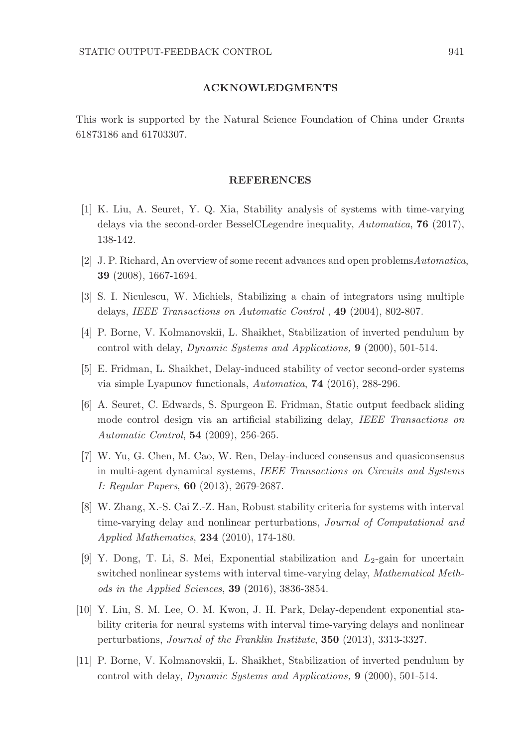#### ACKNOWLEDGMENTS

This work is supported by the Natural Science Foundation of China under Grants 61873186 and 61703307.

#### REFERENCES

- [1] K. Liu, A. Seuret, Y. Q. Xia, Stability analysis of systems with time-varying delays via the second-order BesselCLegendre inequality, *Automatica*, 76 (2017), 138-142.
- [2] J. P. Richard, An overview of some recent advances and open problems*Automatica*, 39 (2008), 1667-1694.
- [3] S. I. Niculescu, W. Michiels, Stabilizing a chain of integrators using multiple delays, *IEEE Transactions on Automatic Control* , 49 (2004), 802-807.
- [4] P. Borne, V. Kolmanovskii, L. Shaikhet, Stabilization of inverted pendulum by control with delay, *Dynamic Systems and Applications,* 9 (2000), 501-514.
- [5] E. Fridman, L. Shaikhet, Delay-induced stability of vector second-order systems via simple Lyapunov functionals, *Automatica*, 74 (2016), 288-296.
- [6] A. Seuret, C. Edwards, S. Spurgeon E. Fridman, Static output feedback sliding mode control design via an artificial stabilizing delay, *IEEE Transactions on Automatic Control*, 54 (2009), 256-265.
- [7] W. Yu, G. Chen, M. Cao, W. Ren, Delay-induced consensus and quasiconsensus in multi-agent dynamical systems, *IEEE Transactions on Circuits and Systems I: Regular Papers*, 60 (2013), 2679-2687.
- [8] W. Zhang, X.-S. Cai Z.-Z. Han, Robust stability criteria for systems with interval time-varying delay and nonlinear perturbations, *Journal of Computational and Applied Mathematics*, 234 (2010), 174-180.
- [9] Y. Dong, T. Li, S. Mei, Exponential stabilization and  $L_2$ -gain for uncertain switched nonlinear systems with interval time-varying delay, *Mathematical Methods in the Applied Sciences*, 39 (2016), 3836-3854.
- [10] Y. Liu, S. M. Lee, O. M. Kwon, J. H. Park, Delay-dependent exponential stability criteria for neural systems with interval time-varying delays and nonlinear perturbations, *Journal of the Franklin Institute*, 350 (2013), 3313-3327.
- [11] P. Borne, V. Kolmanovskii, L. Shaikhet, Stabilization of inverted pendulum by control with delay, *Dynamic Systems and Applications,* 9 (2000), 501-514.